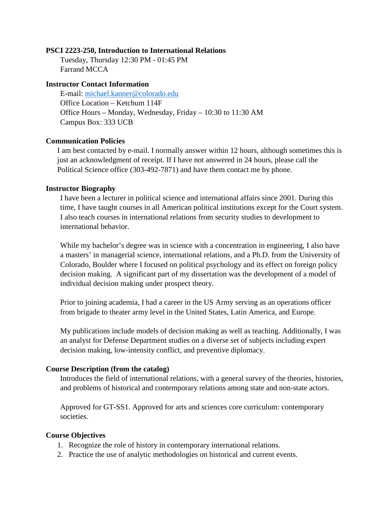#### **PSCI 2223-250, Introduction to International Relations**

Tuesday, Thursday 12:30 PM - 01:45 PM Farrand MCCA

#### **Instructor Contact Information**

E-mail: [michael.kanner@colorado.edu](mailto:michael.kanner@colorado.edu) Office Location – Ketchum 114F Office Hours – Monday, Wednesday, Friday – 10:30 to 11:30 AM Campus Box: 333 UCB

#### **Communication Policies**

I am best contacted by e-mail. I normally answer within 12 hours, although sometimes this is just an acknowledgment of receipt. If I have not answered in 24 hours, please call the Political Science office (303-492-7871) and have them contact me by phone.

#### **Instructor Biography**

I have been a lecturer in political science and international affairs since 2001. During this time, I have taught courses in all American political institutions except for the Court system. I also teach courses in international relations from security studies to development to international behavior.

While my bachelor's degree was in science with a concentration in engineering, I also have a masters' in managerial science, international relations, and a Ph.D. from the University of Colorado, Boulder where I focused on political psychology and its effect on foreign policy decision making. A significant part of my dissertation was the development of a model of individual decision making under prospect theory.

Prior to joining academia, I had a career in the US Army serving as an operations officer from brigade to theater army level in the United States, Latin America, and Europe.

My publications include models of decision making as well as teaching. Additionally, I was an analyst for Defense Department studies on a diverse set of subjects including expert decision making, low-intensity conflict, and preventive diplomacy.

#### **Course Description (from the catalog)**

Introduces the field of international relations, with a general survey of the theories, histories, and problems of historical and contemporary relations among state and non-state actors.

Approved for GT-SS1. Approved for arts and sciences core curriculum: contemporary societies.

#### **Course Objectives**

- 1. Recognize the role of history in contemporary international relations.
- 2. Practice the use of analytic methodologies on historical and current events.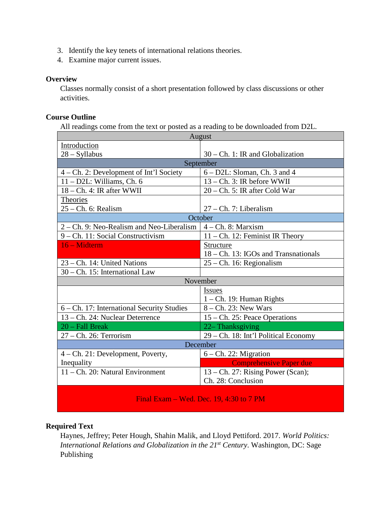- 3. Identify the key tenets of international relations theories.
- 4. Examine major current issues.

### **Overview**

Classes normally consist of a short presentation followed by class discussions or other activities.

### **Course Outline**

All readings come from the text or posted as a reading to be downloaded from D2L.

| August                                     |                                      |  |  |  |  |  |
|--------------------------------------------|--------------------------------------|--|--|--|--|--|
| Introduction                               |                                      |  |  |  |  |  |
| $28 - Syllabus$                            | $30$ – Ch. 1: IR and Globalization   |  |  |  |  |  |
| September                                  |                                      |  |  |  |  |  |
| $4$ – Ch. 2: Development of Int'l Society  | $6 - D2L$ : Sloman, Ch. 3 and 4      |  |  |  |  |  |
| $11 - D2L$ : Williams, Ch. 6               | $13 - Ch.$ 3: IR before WWII         |  |  |  |  |  |
| 18 – Ch. 4: IR after WWII                  | $20 - Ch.$ 5: IR after Cold War      |  |  |  |  |  |
| Theories                                   |                                      |  |  |  |  |  |
| $25 - Ch. 6$ : Realism                     | $27$ – Ch. 7: Liberalism             |  |  |  |  |  |
| October                                    |                                      |  |  |  |  |  |
| 2 – Ch. 9: Neo-Realism and Neo-Liberalism  | $4 - Ch. 8$ : Marxism                |  |  |  |  |  |
| 9 – Ch. 11: Social Constructivism          | $11 - Ch.$ 12: Feminist IR Theory    |  |  |  |  |  |
| 16 – Midterm                               | Structure                            |  |  |  |  |  |
|                                            | 18 – Ch. 13: IGOs and Transnationals |  |  |  |  |  |
| 23 – Ch. 14: United Nations                | $25 - Ch.$ 16: Regionalism           |  |  |  |  |  |
| 30 – Ch. 15: International Law             |                                      |  |  |  |  |  |
| November                                   |                                      |  |  |  |  |  |
|                                            | <b>Issues</b>                        |  |  |  |  |  |
|                                            | $1 - Ch.$ 19: Human Rights           |  |  |  |  |  |
| 6 – Ch. 17: International Security Studies | 8 – Ch. 23: New Wars                 |  |  |  |  |  |
| 13 – Ch. 24: Nuclear Deterrence            | $15$ – Ch. 25: Peace Operations      |  |  |  |  |  |
| 20 - Fall Break                            | 22-Thanksgiving                      |  |  |  |  |  |
| 27 - Ch. 26: Terrorism                     | 29 - Ch. 18: Int'l Political Economy |  |  |  |  |  |
| December                                   |                                      |  |  |  |  |  |
| 4 – Ch. 21: Development, Poverty,          | $6 - Ch.$ 22: Migration              |  |  |  |  |  |
| Inequality                                 | <b>Comprehensive Paper due</b>       |  |  |  |  |  |
| 11 – Ch. 20: Natural Environment           | 13 – Ch. 27: Rising Power (Scan);    |  |  |  |  |  |
|                                            | Ch. 28: Conclusion                   |  |  |  |  |  |
|                                            |                                      |  |  |  |  |  |
| Final Exam – Wed. Dec. 19, 4:30 to 7 PM    |                                      |  |  |  |  |  |

### **Required Text**

Haynes, Jeffrey; Peter Hough, Shahin Malik, and Lloyd Pettiford. 2017. *World Politics: International Relations and Globalization in the 21<sup>st</sup> Century.* Washington, DC: Sage Publishing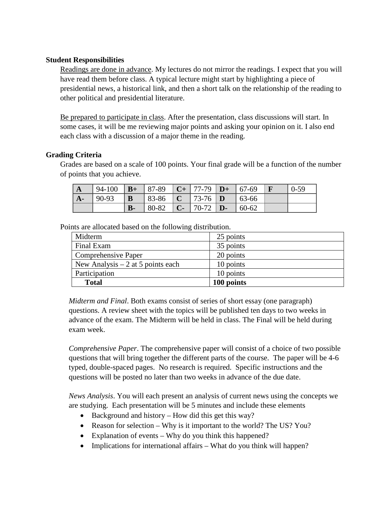### **Student Responsibilities**

Readings are done in advance. My lectures do not mirror the readings. I expect that you will have read them before class. A typical lecture might start by highlighting a piece of presidential news, a historical link, and then a short talk on the relationship of the reading to other political and presidential literature.

Be prepared to participate in class. After the presentation, class discussions will start. In some cases, it will be me reviewing major points and asking your opinion on it. I also end each class with a discussion of a major theme in the reading.

### **Grading Criteria**

Grades are based on a scale of 100 points. Your final grade will be a function of the number of points that you achieve.

| $^{\mathsf{A}}$ | 94-100 |              | $\mid$ <b>B</b> + $\mid$ 87-89 $\mid$ <b>C</b> + $\mid$ 77-79 $\mid$ <b>D</b> + $\mid$ 67-69 |                  |          | $0 - 59$ |
|-----------------|--------|--------------|----------------------------------------------------------------------------------------------|------------------|----------|----------|
| $A-$            | 90-93  | B            | $  83-86   C   73-76   D$                                                                    |                  | $ 63-66$ |          |
|                 |        | $\mathbf{B}$ | 80-82                                                                                        | $ C - 70-72 D -$ | 60-62    |          |

Points are allocated based on the following distribution.

| Midterm                            | 25 points  |
|------------------------------------|------------|
| Final Exam                         | 35 points  |
| Comprehensive Paper                | 20 points  |
| New Analysis $-2$ at 5 points each | 10 points  |
| Participation                      | 10 points  |
| <b>Total</b>                       | 100 points |

*Midterm and Final*. Both exams consist of series of short essay (one paragraph) questions. A review sheet with the topics will be published ten days to two weeks in advance of the exam. The Midterm will be held in class. The Final will be held during exam week.

*Comprehensive Paper*. The comprehensive paper will consist of a choice of two possible questions that will bring together the different parts of the course. The paper will be 4-6 typed, double-spaced pages. No research is required. Specific instructions and the questions will be posted no later than two weeks in advance of the due date.

*News Analysis*. You will each present an analysis of current news using the concepts we are studying. Each presentation will be 5 minutes and include these elements

- Background and history How did this get this way?
- Reason for selection Why is it important to the world? The US? You?
- Explanation of events Why do you think this happened?
- Implications for international affairs What do you think will happen?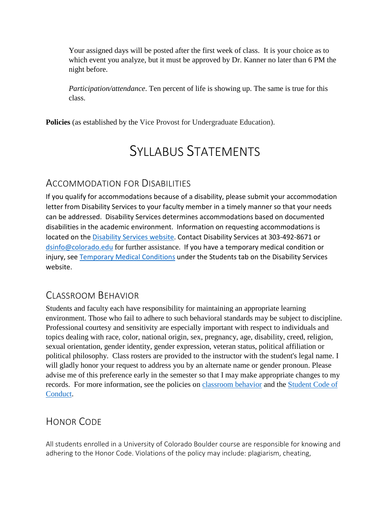Your assigned days will be posted after the first week of class. It is your choice as to which event you analyze, but it must be approved by Dr. Kanner no later than 6 PM the night before.

*Participation/attendance*. Ten percent of life is showing up. The same is true for this class.

**Policies** (as established by the Vice Provost for Undergraduate Education).

# SYLLABUS STATEMENTS

# ACCOMMODATION FOR DISABILITIES

If you qualify for accommodations because of a disability, please submit your accommodation letter from Disability Services to your faculty member in a timely manner so that your needs can be addressed. Disability Services determines accommodations based on documented disabilities in the academic environment. Information on requesting accommodations is located on the [Disability Services website.](http://www.colorado.edu/disabilityservices/students) Contact Disability Services at 303-492-8671 or [dsinfo@colorado.edu](mailto:dsinfo@colorado.edu) for further assistance. If you have a temporary medical condition or injury, see [Temporary Medical Conditions](http://www.colorado.edu/disabilityservices/students/temporary-medical-conditions) under the Students tab on the Disability Services website.

# CLASSROOM BEHAVIOR

Students and faculty each have responsibility for maintaining an appropriate learning environment. Those who fail to adhere to such behavioral standards may be subject to discipline. Professional courtesy and sensitivity are especially important with respect to individuals and topics dealing with race, color, national origin, sex, pregnancy, age, disability, creed, religion, sexual orientation, gender identity, gender expression, veteran status, political affiliation or political philosophy. Class rosters are provided to the instructor with the student's legal name. I will gladly honor your request to address you by an alternate name or gender pronoun. Please advise me of this preference early in the semester so that I may make appropriate changes to my records. For more information, see the policies on [classroom](http://www.colorado.edu/policies/student-classroom-and-course-related-behavior) behavior and the [Student Code of](http://www.colorado.edu/osccr/)  [Conduct.](http://www.colorado.edu/osccr/)

# HONOR CODE

All students enrolled in a University of Colorado Boulder course are responsible for knowing and adhering to the Honor Code. Violations of the policy may include: plagiarism, cheating,